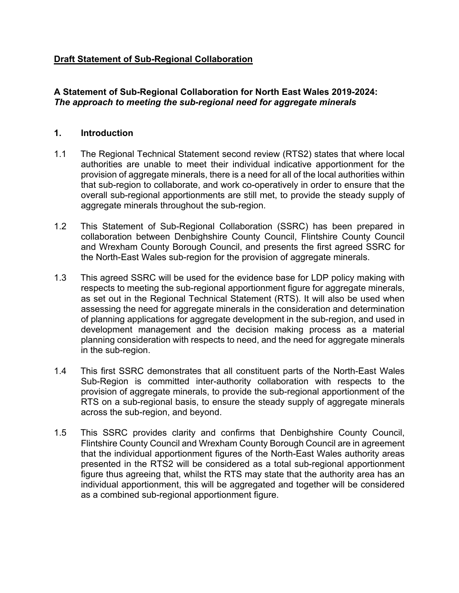# **Draft Statement of Sub-Regional Collaboration**

# **A Statement of Sub-Regional Collaboration for North East Wales 2019-2024:** *The approach to meeting the sub-regional need for aggregate minerals*

### **1. Introduction**

- 1.1 The Regional Technical Statement second review (RTS2) states that where local authorities are unable to meet their individual indicative apportionment for the provision of aggregate minerals, there is a need for all of the local authorities within that sub-region to collaborate, and work co-operatively in order to ensure that the overall sub-regional apportionments are still met, to provide the steady supply of aggregate minerals throughout the sub-region.
- 1.2 This Statement of Sub-Regional Collaboration (SSRC) has been prepared in collaboration between Denbighshire County Council, Flintshire County Council and Wrexham County Borough Council, and presents the first agreed SSRC for the North-East Wales sub-region for the provision of aggregate minerals.
- 1.3 This agreed SSRC will be used for the evidence base for LDP policy making with respects to meeting the sub-regional apportionment figure for aggregate minerals, as set out in the Regional Technical Statement (RTS). It will also be used when assessing the need for aggregate minerals in the consideration and determination of planning applications for aggregate development in the sub-region, and used in development management and the decision making process as a material planning consideration with respects to need, and the need for aggregate minerals in the sub-region.
- 1.4 This first SSRC demonstrates that all constituent parts of the North-East Wales Sub-Region is committed inter-authority collaboration with respects to the provision of aggregate minerals, to provide the sub-regional apportionment of the RTS on a sub-regional basis, to ensure the steady supply of aggregate minerals across the sub-region, and beyond.
- 1.5 This SSRC provides clarity and confirms that Denbighshire County Council, Flintshire County Council and Wrexham County Borough Council are in agreement that the individual apportionment figures of the North-East Wales authority areas presented in the RTS2 will be considered as a total sub-regional apportionment figure thus agreeing that, whilst the RTS may state that the authority area has an individual apportionment, this will be aggregated and together will be considered as a combined sub-regional apportionment figure.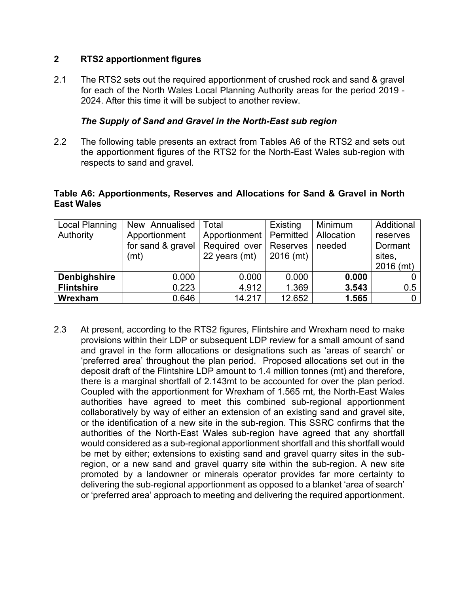### **2 RTS2 apportionment figures**

2.1 The RTS2 sets out the required apportionment of crushed rock and sand & gravel for each of the North Wales Local Planning Authority areas for the period 2019 - 2024. After this time it will be subject to another review.

## *The Supply of Sand and Gravel in the North-East sub region*

2.2 The following table presents an extract from Tables A6 of the RTS2 and sets out the apportionment figures of the RTS2 for the North-East Wales sub-region with respects to sand and gravel.

## **Table A6: Apportionments, Reserves and Allocations for Sand & Gravel in North East Wales**

| <b>Local Planning</b> | New Annualised    | Total                     | Existing    | Minimum    | Additional   |
|-----------------------|-------------------|---------------------------|-------------|------------|--------------|
| Authority             | Apportionment     | Apportionment   Permitted |             | Allocation | reserves     |
|                       | for sand & gravel | Required over             | Reserves    | needed     | Dormant      |
|                       | (mt)              | 22 years (mt)             | $2016$ (mt) |            | sites,       |
|                       |                   |                           |             |            | $2016$ (mt)  |
| <b>Denbighshire</b>   | 0.000             | 0.000                     | 0.000       | 0.000      |              |
| <b>Flintshire</b>     | 0.223             | 4.912                     | 1.369       | 3.543      | 0.5          |
| Wrexham               | 0.646             | 14.217                    | 12.652      | 1.565      | $\mathbf{0}$ |

2.3 At present, according to the RTS2 figures, Flintshire and Wrexham need to make provisions within their LDP or subsequent LDP review for a small amount of sand and gravel in the form allocations or designations such as 'areas of search' or 'preferred area' throughout the plan period. Proposed allocations set out in the deposit draft of the Flintshire LDP amount to 1.4 million tonnes (mt) and therefore, there is a marginal shortfall of 2.143mt to be accounted for over the plan period. Coupled with the apportionment for Wrexham of 1.565 mt, the North-East Wales authorities have agreed to meet this combined sub-regional apportionment collaboratively by way of either an extension of an existing sand and gravel site, or the identification of a new site in the sub-region. This SSRC confirms that the authorities of the North-East Wales sub-region have agreed that any shortfall would considered as a sub-regional apportionment shortfall and this shortfall would be met by either; extensions to existing sand and gravel quarry sites in the subregion, or a new sand and gravel quarry site within the sub-region. A new site promoted by a landowner or minerals operator provides far more certainty to delivering the sub-regional apportionment as opposed to a blanket 'area of search' or 'preferred area' approach to meeting and delivering the required apportionment.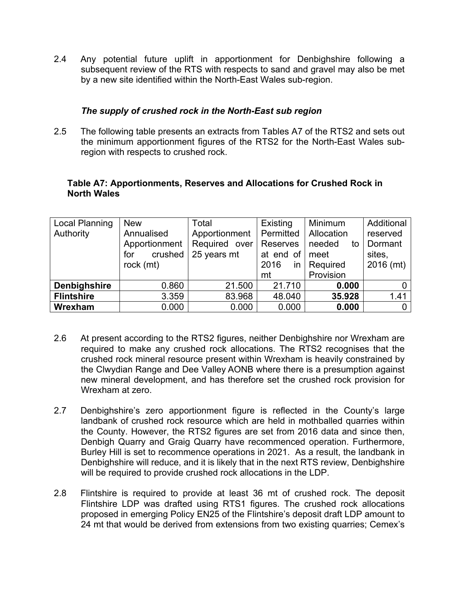2.4 Any potential future uplift in apportionment for Denbighshire following a subsequent review of the RTS with respects to sand and gravel may also be met by a new site identified within the North-East Wales sub-region.

### *The supply of crushed rock in the North-East sub region*

2.5 The following table presents an extracts from Tables A7 of the RTS2 and sets out the minimum apportionment figures of the RTS2 for the North-East Wales subregion with respects to crushed rock.

#### **Table A7: Apportionments, Reserves and Allocations for Crushed Rock in North Wales**

| Local Planning    | <b>New</b>     | Total         | Existing   | Minimum      | Additional     |
|-------------------|----------------|---------------|------------|--------------|----------------|
| Authority         | Annualised     | Apportionment | Permitted  | Allocation   | reserved       |
|                   | Apportionment  | Required over | Reserves   | needed<br>to | Dormant        |
|                   | crushed<br>for | 25 years mt   | at end of  | meet         | sites.         |
|                   | rock (mt)      |               | 2016<br>in | Required     | 2016 (mt)      |
|                   |                |               | mt         | Provision    |                |
| Denbighshire      | 0.860          | 21.500        | 21.710     | 0.000        |                |
| <b>Flintshire</b> | 3.359          | 83.968        | 48.040     | 35.928       | 1.41           |
| Wrexham           | 0.000          | 0.000         | 0.000      | 0.000        | $\overline{0}$ |

- 2.6 At present according to the RTS2 figures, neither Denbighshire nor Wrexham are required to make any crushed rock allocations. The RTS2 recognises that the crushed rock mineral resource present within Wrexham is heavily constrained by the Clwydian Range and Dee Valley AONB where there is a presumption against new mineral development, and has therefore set the crushed rock provision for Wrexham at zero.
- 2.7 Denbighshire's zero apportionment figure is reflected in the County's large landbank of crushed rock resource which are held in mothballed quarries within the County. However, the RTS2 figures are set from 2016 data and since then, Denbigh Quarry and Graig Quarry have recommenced operation. Furthermore, Burley Hill is set to recommence operations in 2021. As a result, the landbank in Denbighshire will reduce, and it is likely that in the next RTS review, Denbighshire will be required to provide crushed rock allocations in the LDP.
- 2.8 Flintshire is required to provide at least 36 mt of crushed rock. The deposit Flintshire LDP was drafted using RTS1 figures. The crushed rock allocations proposed in emerging Policy EN25 of the Flintshire's deposit draft LDP amount to 24 mt that would be derived from extensions from two existing quarries; Cemex's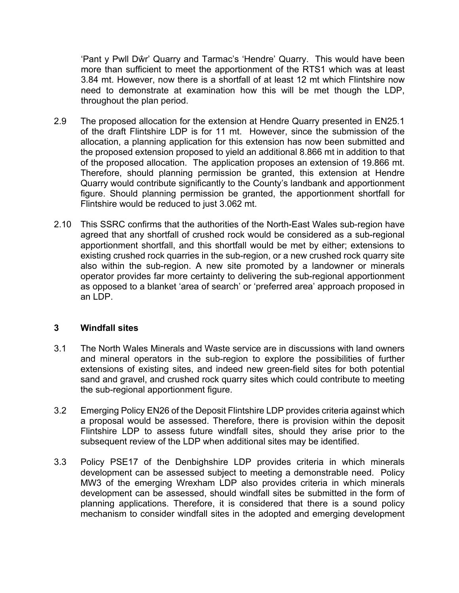'Pant y Pwll Dŵr' Quarry and Tarmac's 'Hendre' Quarry. This would have been more than sufficient to meet the apportionment of the RTS1 which was at least 3.84 mt. However, now there is a shortfall of at least 12 mt which Flintshire now need to demonstrate at examination how this will be met though the LDP, throughout the plan period.

- 2.9 The proposed allocation for the extension at Hendre Quarry presented in EN25.1 of the draft Flintshire LDP is for 11 mt. However, since the submission of the allocation, a planning application for this extension has now been submitted and the proposed extension proposed to yield an additional 8.866 mt in addition to that of the proposed allocation. The application proposes an extension of 19.866 mt. Therefore, should planning permission be granted, this extension at Hendre Quarry would contribute significantly to the County's landbank and apportionment figure. Should planning permission be granted, the apportionment shortfall for Flintshire would be reduced to just 3.062 mt.
- 2.10 This SSRC confirms that the authorities of the North-East Wales sub-region have agreed that any shortfall of crushed rock would be considered as a sub-regional apportionment shortfall, and this shortfall would be met by either; extensions to existing crushed rock quarries in the sub-region, or a new crushed rock quarry site also within the sub-region. A new site promoted by a landowner or minerals operator provides far more certainty to delivering the sub-regional apportionment as opposed to a blanket 'area of search' or 'preferred area' approach proposed in an LDP.

#### **3 Windfall sites**

- 3.1 The North Wales Minerals and Waste service are in discussions with land owners and mineral operators in the sub-region to explore the possibilities of further extensions of existing sites, and indeed new green-field sites for both potential sand and gravel, and crushed rock quarry sites which could contribute to meeting the sub-regional apportionment figure.
- 3.2 Emerging Policy EN26 of the Deposit Flintshire LDP provides criteria against which a proposal would be assessed. Therefore, there is provision within the deposit Flintshire LDP to assess future windfall sites, should they arise prior to the subsequent review of the LDP when additional sites may be identified.
- 3.3 Policy PSE17 of the Denbighshire LDP provides criteria in which minerals development can be assessed subject to meeting a demonstrable need. Policy MW3 of the emerging Wrexham LDP also provides criteria in which minerals development can be assessed, should windfall sites be submitted in the form of planning applications. Therefore, it is considered that there is a sound policy mechanism to consider windfall sites in the adopted and emerging development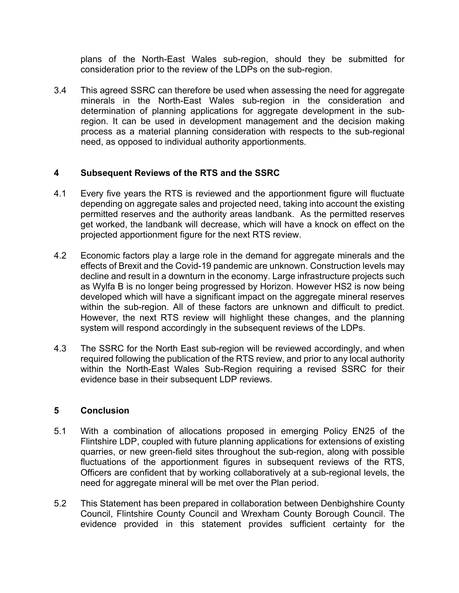plans of the North-East Wales sub-region, should they be submitted for consideration prior to the review of the LDPs on the sub-region.

3.4 This agreed SSRC can therefore be used when assessing the need for aggregate minerals in the North-East Wales sub-region in the consideration and determination of planning applications for aggregate development in the subregion. It can be used in development management and the decision making process as a material planning consideration with respects to the sub-regional need, as opposed to individual authority apportionments.

# **4 Subsequent Reviews of the RTS and the SSRC**

- 4.1 Every five years the RTS is reviewed and the apportionment figure will fluctuate depending on aggregate sales and projected need, taking into account the existing permitted reserves and the authority areas landbank. As the permitted reserves get worked, the landbank will decrease, which will have a knock on effect on the projected apportionment figure for the next RTS review.
- 4.2 Economic factors play a large role in the demand for aggregate minerals and the effects of Brexit and the Covid-19 pandemic are unknown. Construction levels may decline and result in a downturn in the economy. Large infrastructure projects such as Wylfa B is no longer being progressed by Horizon. However HS2 is now being developed which will have a significant impact on the aggregate mineral reserves within the sub-region. All of these factors are unknown and difficult to predict. However, the next RTS review will highlight these changes, and the planning system will respond accordingly in the subsequent reviews of the LDPs.
- 4.3 The SSRC for the North East sub-region will be reviewed accordingly, and when required following the publication of the RTS review, and prior to any local authority within the North-East Wales Sub-Region requiring a revised SSRC for their evidence base in their subsequent LDP reviews.

# **5 Conclusion**

- 5.1 With a combination of allocations proposed in emerging Policy EN25 of the Flintshire LDP, coupled with future planning applications for extensions of existing quarries, or new green-field sites throughout the sub-region, along with possible fluctuations of the apportionment figures in subsequent reviews of the RTS, Officers are confident that by working collaboratively at a sub-regional levels, the need for aggregate mineral will be met over the Plan period.
- 5.2 This Statement has been prepared in collaboration between Denbighshire County Council, Flintshire County Council and Wrexham County Borough Council. The evidence provided in this statement provides sufficient certainty for the